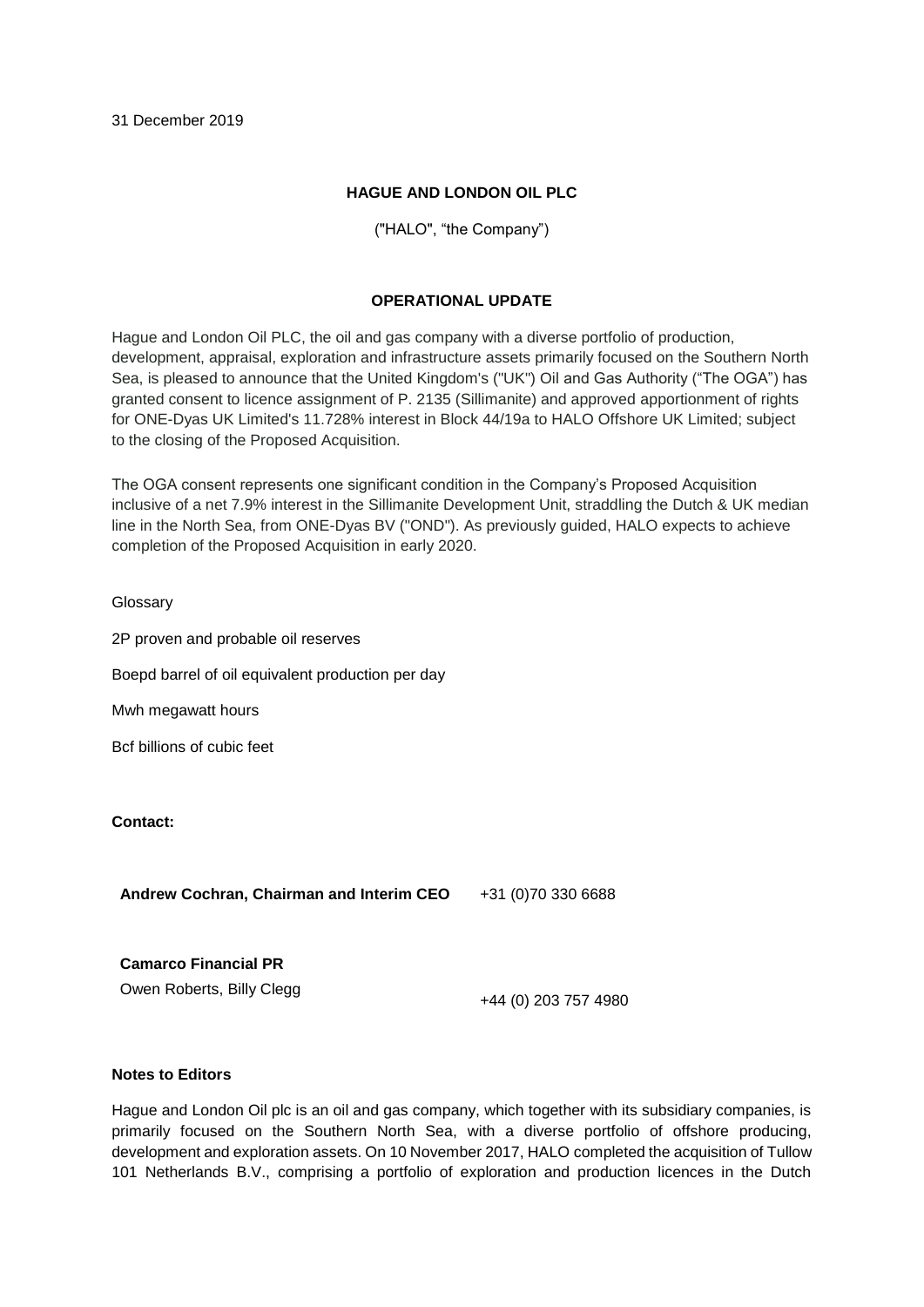# **HAGUE AND LONDON OIL PLC**

("HALO", "the Company")

# **OPERATIONAL UPDATE**

Hague and London Oil PLC, the oil and gas company with a diverse portfolio of production, development, appraisal, exploration and infrastructure assets primarily focused on the Southern North Sea, is pleased to announce that the United Kingdom's ("UK") Oil and Gas Authority ("The OGA") has granted consent to licence assignment of P. 2135 (Sillimanite) and approved apportionment of rights for ONE-Dyas UK Limited's 11.728% interest in Block 44/19a to HALO Offshore UK Limited; subject to the closing of the Proposed Acquisition.

The OGA consent represents one significant condition in the Company's Proposed Acquisition inclusive of a net 7.9% interest in the Sillimanite Development Unit, straddling the Dutch & UK median line in the North Sea, from ONE-Dyas BV ("OND"). As previously guided, HALO expects to achieve completion of the Proposed Acquisition in early 2020.

### **Glossary**

2P proven and probable oil reserves

Boepd barrel of oil equivalent production per day

Mwh megawatt hours

Bcf billions of cubic feet

## **Contact:**

**Andrew Cochran, Chairman and Interim CEO** +31 (0)70 330 6688

**Camarco Financial PR**

Owen Roberts, Billy Clegg <br>+44 (0) 203 757 4980

## **Notes to Editors**

Hague and London Oil plc is an oil and gas company, which together with its subsidiary companies, is primarily focused on the Southern North Sea, with a diverse portfolio of offshore producing, development and exploration assets. On 10 November 2017, HALO completed the acquisition of Tullow 101 Netherlands B.V., comprising a portfolio of exploration and production licences in the Dutch